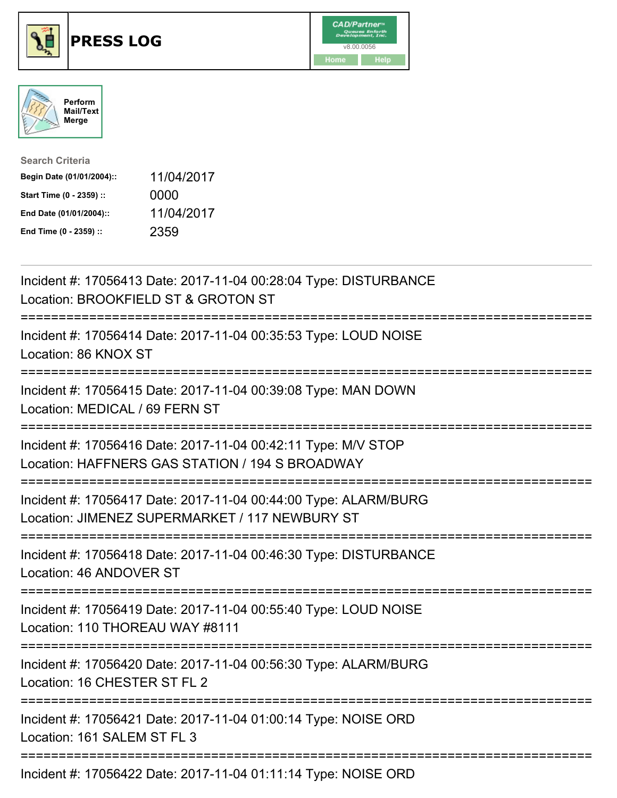





| <b>Search Criteria</b>    |            |
|---------------------------|------------|
| Begin Date (01/01/2004):: | 11/04/2017 |
| Start Time (0 - 2359) ::  | 0000       |
| End Date (01/01/2004)::   | 11/04/2017 |
| End Time (0 - 2359) ::    | 2359       |

| Incident #: 17056413 Date: 2017-11-04 00:28:04 Type: DISTURBANCE<br>Location: BROOKFIELD ST & GROTON ST                                                |
|--------------------------------------------------------------------------------------------------------------------------------------------------------|
| Incident #: 17056414 Date: 2017-11-04 00:35:53 Type: LOUD NOISE<br>Location: 86 KNOX ST                                                                |
| Incident #: 17056415 Date: 2017-11-04 00:39:08 Type: MAN DOWN<br>Location: MEDICAL / 69 FERN ST                                                        |
| Incident #: 17056416 Date: 2017-11-04 00:42:11 Type: M/V STOP<br>Location: HAFFNERS GAS STATION / 194 S BROADWAY                                       |
| Incident #: 17056417 Date: 2017-11-04 00:44:00 Type: ALARM/BURG<br>Location: JIMENEZ SUPERMARKET / 117 NEWBURY ST<br>--------------------------------- |
| Incident #: 17056418 Date: 2017-11-04 00:46:30 Type: DISTURBANCE<br>Location: 46 ANDOVER ST                                                            |
| Incident #: 17056419 Date: 2017-11-04 00:55:40 Type: LOUD NOISE<br>Location: 110 THOREAU WAY #8111                                                     |
| Incident #: 17056420 Date: 2017-11-04 00:56:30 Type: ALARM/BURG<br>Location: 16 CHESTER ST FL 2<br>=======================                             |
| Incident #: 17056421 Date: 2017-11-04 01:00:14 Type: NOISE ORD<br>Location: 161 SALEM ST FL 3                                                          |
| Incident #: 17056422 Date: 2017-11-04 01:11:14 Type: NOISE ORD                                                                                         |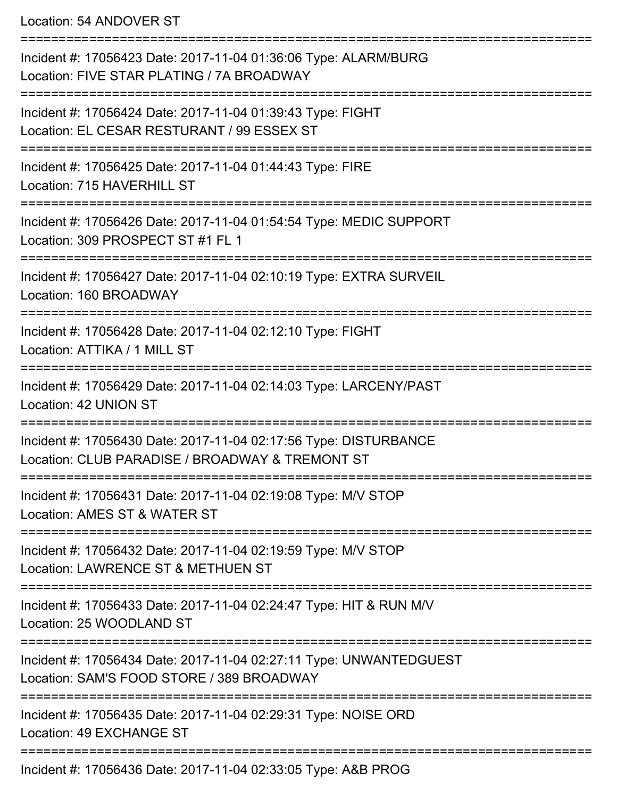Location: 54 ANDOVER ST

=========================================================================== Incident #: 17056423 Date: 2017-11-04 01:36:06 Type: ALARM/BURG Location: FIVE STAR PLATING / 7A BROADWAY =========================================================================== Incident #: 17056424 Date: 2017-11-04 01:39:43 Type: FIGHT Location: EL CESAR RESTURANT / 99 ESSEX ST =========================================================================== Incident #: 17056425 Date: 2017-11-04 01:44:43 Type: FIRE Location: 715 HAVERHILL ST =========================================================================== Incident #: 17056426 Date: 2017-11-04 01:54:54 Type: MEDIC SUPPORT Location: 309 PROSPECT ST #1 FL 1 =========================================================================== Incident #: 17056427 Date: 2017-11-04 02:10:19 Type: EXTRA SURVEIL Location: 160 BROADWAY =========================================================================== Incident #: 17056428 Date: 2017-11-04 02:12:10 Type: FIGHT Location: ATTIKA / 1 MILL ST =========================================================================== Incident #: 17056429 Date: 2017-11-04 02:14:03 Type: LARCENY/PAST Location: 42 UNION ST =========================================================================== Incident #: 17056430 Date: 2017-11-04 02:17:56 Type: DISTURBANCE Location: CLUB PARADISE / BROADWAY & TREMONT ST =========================================================================== Incident #: 17056431 Date: 2017-11-04 02:19:08 Type: M/V STOP Location: AMES ST & WATER ST =========================================================================== Incident #: 17056432 Date: 2017-11-04 02:19:59 Type: M/V STOP Location: LAWRENCE ST & METHUEN ST =========================================================================== Incident #: 17056433 Date: 2017-11-04 02:24:47 Type: HIT & RUN M/V Location: 25 WOODLAND ST =========================================================================== Incident #: 17056434 Date: 2017-11-04 02:27:11 Type: UNWANTEDGUEST Location: SAM'S FOOD STORE / 389 BROADWAY =========================================================================== Incident #: 17056435 Date: 2017-11-04 02:29:31 Type: NOISE ORD Location: 49 EXCHANGE ST =========================================================================== Incident #: 17056436 Date: 2017-11-04 02:33:05 Type: A&B PROG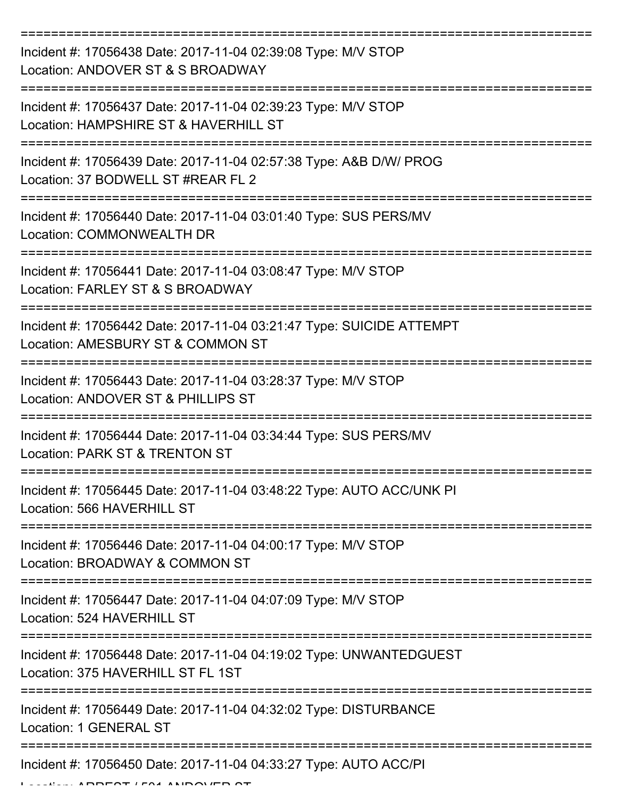| Incident #: 17056438 Date: 2017-11-04 02:39:08 Type: M/V STOP<br>Location: ANDOVER ST & S BROADWAY        |
|-----------------------------------------------------------------------------------------------------------|
| Incident #: 17056437 Date: 2017-11-04 02:39:23 Type: M/V STOP<br>Location: HAMPSHIRE ST & HAVERHILL ST    |
| Incident #: 17056439 Date: 2017-11-04 02:57:38 Type: A&B D/W/ PROG<br>Location: 37 BODWELL ST #REAR FL 2  |
| Incident #: 17056440 Date: 2017-11-04 03:01:40 Type: SUS PERS/MV<br>Location: COMMONWEALTH DR             |
| Incident #: 17056441 Date: 2017-11-04 03:08:47 Type: M/V STOP<br>Location: FARLEY ST & S BROADWAY         |
| Incident #: 17056442 Date: 2017-11-04 03:21:47 Type: SUICIDE ATTEMPT<br>Location: AMESBURY ST & COMMON ST |
| Incident #: 17056443 Date: 2017-11-04 03:28:37 Type: M/V STOP<br>Location: ANDOVER ST & PHILLIPS ST       |
| Incident #: 17056444 Date: 2017-11-04 03:34:44 Type: SUS PERS/MV<br>Location: PARK ST & TRENTON ST        |
| Incident #: 17056445 Date: 2017-11-04 03:48:22 Type: AUTO ACC/UNK PI<br>Location: 566 HAVERHILL ST        |
| Incident #: 17056446 Date: 2017-11-04 04:00:17 Type: M/V STOP<br>Location: BROADWAY & COMMON ST           |
| Incident #: 17056447 Date: 2017-11-04 04:07:09 Type: M/V STOP<br>Location: 524 HAVERHILL ST               |
| Incident #: 17056448 Date: 2017-11-04 04:19:02 Type: UNWANTEDGUEST<br>Location: 375 HAVERHILL ST FL 1ST   |
| Incident #: 17056449 Date: 2017-11-04 04:32:02 Type: DISTURBANCE<br><b>Location: 1 GENERAL ST</b>         |
| Incident #: 17056450 Date: 2017-11-04 04:33:27 Type: AUTO ACC/PI                                          |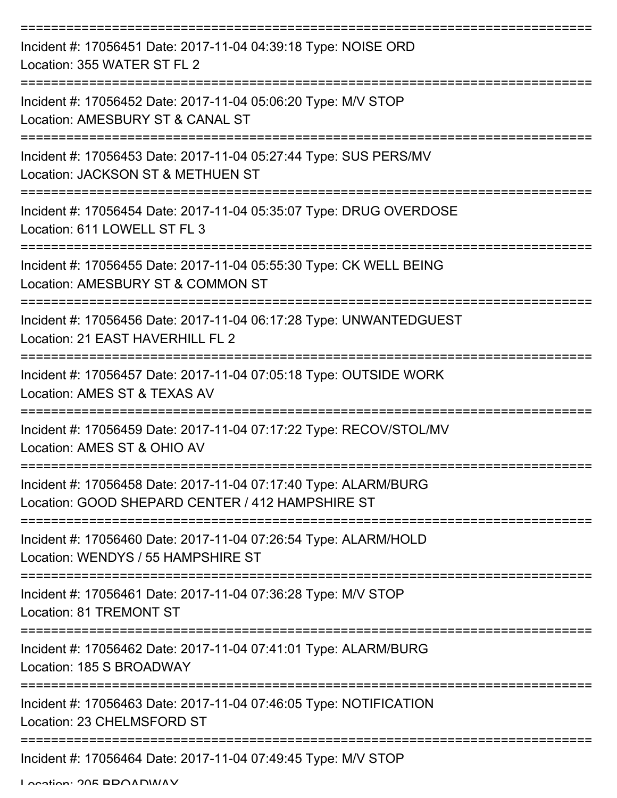| Incident #: 17056451 Date: 2017-11-04 04:39:18 Type: NOISE ORD<br>Location: 355 WATER ST FL 2                       |
|---------------------------------------------------------------------------------------------------------------------|
| Incident #: 17056452 Date: 2017-11-04 05:06:20 Type: M/V STOP<br>Location: AMESBURY ST & CANAL ST                   |
| Incident #: 17056453 Date: 2017-11-04 05:27:44 Type: SUS PERS/MV<br>Location: JACKSON ST & METHUEN ST               |
| Incident #: 17056454 Date: 2017-11-04 05:35:07 Type: DRUG OVERDOSE<br>Location: 611 LOWELL ST FL 3                  |
| Incident #: 17056455 Date: 2017-11-04 05:55:30 Type: CK WELL BEING<br>Location: AMESBURY ST & COMMON ST             |
| Incident #: 17056456 Date: 2017-11-04 06:17:28 Type: UNWANTEDGUEST<br>Location: 21 EAST HAVERHILL FL 2              |
| Incident #: 17056457 Date: 2017-11-04 07:05:18 Type: OUTSIDE WORK<br>Location: AMES ST & TEXAS AV                   |
| Incident #: 17056459 Date: 2017-11-04 07:17:22 Type: RECOV/STOL/MV<br>Location: AMES ST & OHIO AV                   |
| Incident #: 17056458 Date: 2017-11-04 07:17:40 Type: ALARM/BURG<br>Location: GOOD SHEPARD CENTER / 412 HAMPSHIRE ST |
| Incident #: 17056460 Date: 2017-11-04 07:26:54 Type: ALARM/HOLD<br>Location: WENDYS / 55 HAMPSHIRE ST               |
| Incident #: 17056461 Date: 2017-11-04 07:36:28 Type: M/V STOP<br>Location: 81 TREMONT ST                            |
| Incident #: 17056462 Date: 2017-11-04 07:41:01 Type: ALARM/BURG<br>Location: 185 S BROADWAY                         |
| Incident #: 17056463 Date: 2017-11-04 07:46:05 Type: NOTIFICATION<br>Location: 23 CHELMSFORD ST                     |
| Incident #: 17056464 Date: 2017-11-04 07:49:45 Type: M/V STOP                                                       |

Location: 205 BROADWAY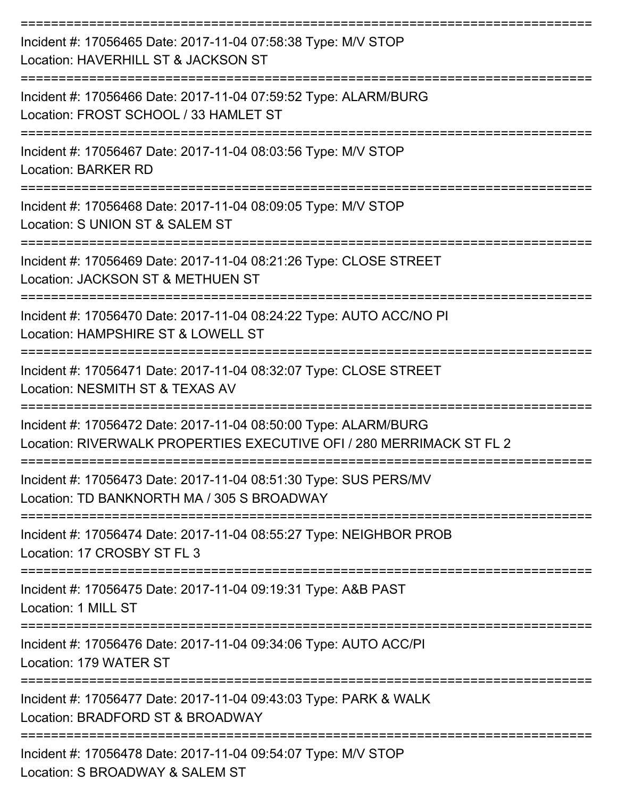| Incident #: 17056465 Date: 2017-11-04 07:58:38 Type: M/V STOP<br>Location: HAVERHILL ST & JACKSON ST                                    |
|-----------------------------------------------------------------------------------------------------------------------------------------|
| Incident #: 17056466 Date: 2017-11-04 07:59:52 Type: ALARM/BURG<br>Location: FROST SCHOOL / 33 HAMLET ST                                |
| Incident #: 17056467 Date: 2017-11-04 08:03:56 Type: M/V STOP<br><b>Location: BARKER RD</b>                                             |
| Incident #: 17056468 Date: 2017-11-04 08:09:05 Type: M/V STOP<br>Location: S UNION ST & SALEM ST                                        |
| Incident #: 17056469 Date: 2017-11-04 08:21:26 Type: CLOSE STREET<br>Location: JACKSON ST & METHUEN ST                                  |
| Incident #: 17056470 Date: 2017-11-04 08:24:22 Type: AUTO ACC/NO PI<br>Location: HAMPSHIRE ST & LOWELL ST                               |
| Incident #: 17056471 Date: 2017-11-04 08:32:07 Type: CLOSE STREET<br>Location: NESMITH ST & TEXAS AV                                    |
| Incident #: 17056472 Date: 2017-11-04 08:50:00 Type: ALARM/BURG<br>Location: RIVERWALK PROPERTIES EXECUTIVE OFI / 280 MERRIMACK ST FL 2 |
| Incident #: 17056473 Date: 2017-11-04 08:51:30 Type: SUS PERS/MV<br>Location: TD BANKNORTH MA / 305 S BROADWAY                          |
| Incident #: 17056474 Date: 2017-11-04 08:55:27 Type: NEIGHBOR PROB<br>Location: 17 CROSBY ST FL 3                                       |
| Incident #: 17056475 Date: 2017-11-04 09:19:31 Type: A&B PAST<br>Location: 1 MILL ST                                                    |
| Incident #: 17056476 Date: 2017-11-04 09:34:06 Type: AUTO ACC/PI<br>Location: 179 WATER ST                                              |
| Incident #: 17056477 Date: 2017-11-04 09:43:03 Type: PARK & WALK<br>Location: BRADFORD ST & BROADWAY                                    |
| Incident #: 17056478 Date: 2017-11-04 09:54:07 Type: M/V STOP<br>Location: S BROADWAY & SALEM ST                                        |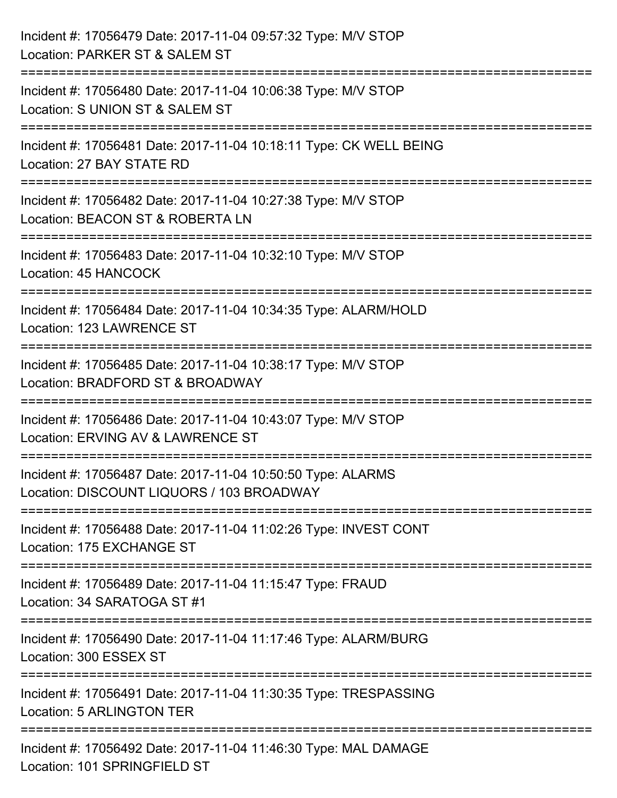| Incident #: 17056479 Date: 2017-11-04 09:57:32 Type: M/V STOP<br>Location: PARKER ST & SALEM ST          |
|----------------------------------------------------------------------------------------------------------|
| Incident #: 17056480 Date: 2017-11-04 10:06:38 Type: M/V STOP<br>Location: S UNION ST & SALEM ST         |
| Incident #: 17056481 Date: 2017-11-04 10:18:11 Type: CK WELL BEING<br>Location: 27 BAY STATE RD          |
| Incident #: 17056482 Date: 2017-11-04 10:27:38 Type: M/V STOP<br>Location: BEACON ST & ROBERTA LN        |
| Incident #: 17056483 Date: 2017-11-04 10:32:10 Type: M/V STOP<br>Location: 45 HANCOCK                    |
| Incident #: 17056484 Date: 2017-11-04 10:34:35 Type: ALARM/HOLD<br>Location: 123 LAWRENCE ST             |
| Incident #: 17056485 Date: 2017-11-04 10:38:17 Type: M/V STOP<br>Location: BRADFORD ST & BROADWAY        |
| Incident #: 17056486 Date: 2017-11-04 10:43:07 Type: M/V STOP<br>Location: ERVING AV & LAWRENCE ST       |
| Incident #: 17056487 Date: 2017-11-04 10:50:50 Type: ALARMS<br>Location: DISCOUNT LIQUORS / 103 BROADWAY |
| Incident #: 17056488 Date: 2017-11-04 11:02:26 Type: INVEST CONT<br>Location: 175 EXCHANGE ST            |
| Incident #: 17056489 Date: 2017-11-04 11:15:47 Type: FRAUD<br>Location: 34 SARATOGA ST #1                |
| Incident #: 17056490 Date: 2017-11-04 11:17:46 Type: ALARM/BURG<br>Location: 300 ESSEX ST                |
| Incident #: 17056491 Date: 2017-11-04 11:30:35 Type: TRESPASSING<br><b>Location: 5 ARLINGTON TER</b>     |
| Incident #: 17056492 Date: 2017-11-04 11:46:30 Type: MAL DAMAGE<br>Location: 101 SPRINGFIELD ST          |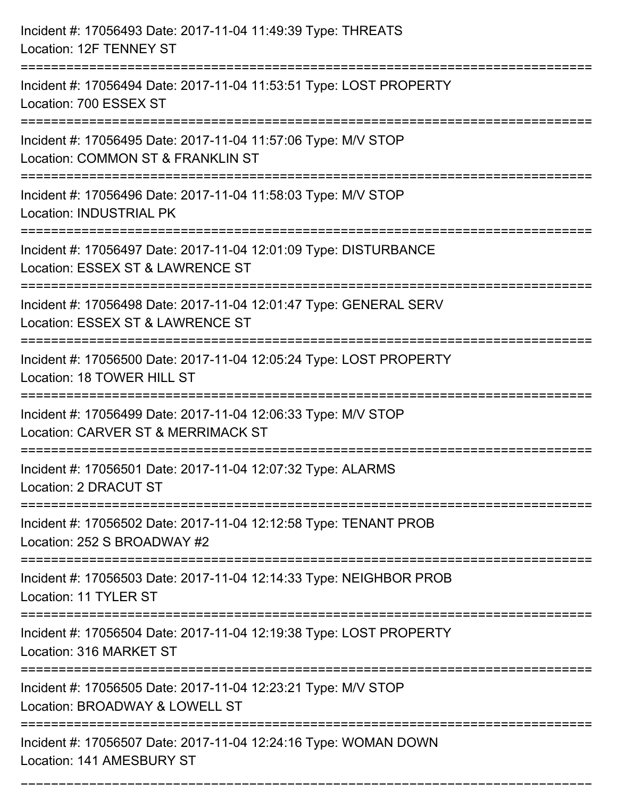| Incident #: 17056493 Date: 2017-11-04 11:49:39 Type: THREATS<br>Location: 12F TENNEY ST                                                 |
|-----------------------------------------------------------------------------------------------------------------------------------------|
| Incident #: 17056494 Date: 2017-11-04 11:53:51 Type: LOST PROPERTY<br>Location: 700 ESSEX ST                                            |
| Incident #: 17056495 Date: 2017-11-04 11:57:06 Type: M/V STOP<br>Location: COMMON ST & FRANKLIN ST<br>================================= |
| Incident #: 17056496 Date: 2017-11-04 11:58:03 Type: M/V STOP<br>Location: INDUSTRIAL PK                                                |
| Incident #: 17056497 Date: 2017-11-04 12:01:09 Type: DISTURBANCE<br>Location: ESSEX ST & LAWRENCE ST                                    |
| Incident #: 17056498 Date: 2017-11-04 12:01:47 Type: GENERAL SERV<br>Location: ESSEX ST & LAWRENCE ST                                   |
| Incident #: 17056500 Date: 2017-11-04 12:05:24 Type: LOST PROPERTY<br>Location: 18 TOWER HILL ST                                        |
| Incident #: 17056499 Date: 2017-11-04 12:06:33 Type: M/V STOP<br>Location: CARVER ST & MERRIMACK ST                                     |
| Incident #: 17056501 Date: 2017-11-04 12:07:32 Type: ALARMS<br>Location: 2 DRACUT ST                                                    |
| Incident #: 17056502 Date: 2017-11-04 12:12:58 Type: TENANT PROB<br>Location: 252 S BROADWAY #2                                         |
| Incident #: 17056503 Date: 2017-11-04 12:14:33 Type: NEIGHBOR PROB<br>Location: 11 TYLER ST                                             |
| Incident #: 17056504 Date: 2017-11-04 12:19:38 Type: LOST PROPERTY<br>Location: 316 MARKET ST                                           |
| Incident #: 17056505 Date: 2017-11-04 12:23:21 Type: M/V STOP<br>Location: BROADWAY & LOWELL ST                                         |
| Incident #: 17056507 Date: 2017-11-04 12:24:16 Type: WOMAN DOWN<br>Location: 141 AMESBURY ST                                            |

===========================================================================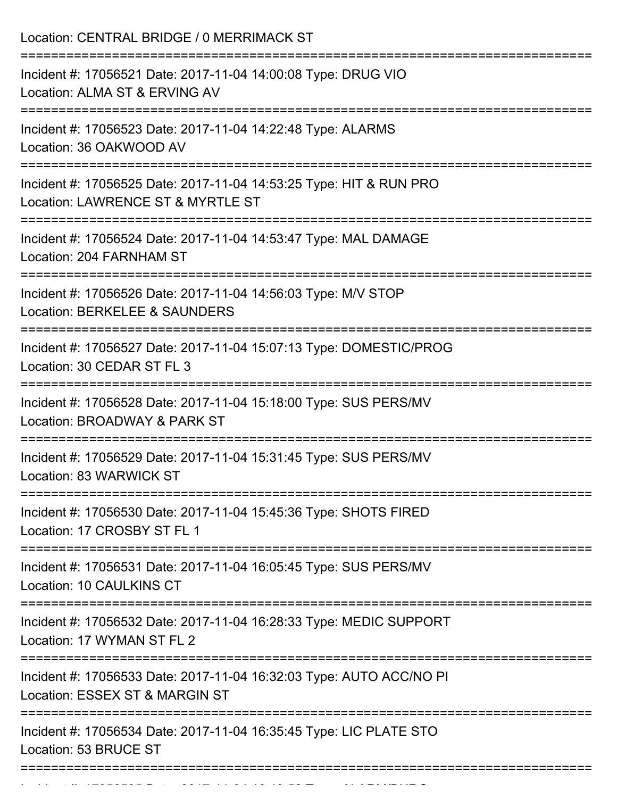| Location: CENTRAL BRIDGE / 0 MERRIMACK ST                                                                                 |
|---------------------------------------------------------------------------------------------------------------------------|
| Incident #: 17056521 Date: 2017-11-04 14:00:08 Type: DRUG VIO<br>Location: ALMA ST & ERVING AV                            |
| Incident #: 17056523 Date: 2017-11-04 14:22:48 Type: ALARMS<br>Location: 36 OAKWOOD AV                                    |
| Incident #: 17056525 Date: 2017-11-04 14:53:25 Type: HIT & RUN PRO<br>Location: LAWRENCE ST & MYRTLE ST                   |
| Incident #: 17056524 Date: 2017-11-04 14:53:47 Type: MAL DAMAGE<br>Location: 204 FARNHAM ST<br>----------------           |
| Incident #: 17056526 Date: 2017-11-04 14:56:03 Type: M/V STOP<br>Location: BERKELEE & SAUNDERS                            |
| Incident #: 17056527 Date: 2017-11-04 15:07:13 Type: DOMESTIC/PROG<br>Location: 30 CEDAR ST FL 3                          |
| Incident #: 17056528 Date: 2017-11-04 15:18:00 Type: SUS PERS/MV<br>Location: BROADWAY & PARK ST                          |
| Incident #: 17056529 Date: 2017-11-04 15:31:45 Type: SUS PERS/MV<br>Location: 83 WARWICK ST                               |
| Incident #: 17056530 Date: 2017-11-04 15:45:36 Type: SHOTS FIRED<br>Location: 17 CROSBY ST FL 1                           |
| Incident #: 17056531 Date: 2017-11-04 16:05:45 Type: SUS PERS/MV<br>Location: 10 CAULKINS CT                              |
| ---------------------<br>Incident #: 17056532 Date: 2017-11-04 16:28:33 Type: MEDIC SUPPORT<br>Location: 17 WYMAN ST FL 2 |
| Incident #: 17056533 Date: 2017-11-04 16:32:03 Type: AUTO ACC/NO PI<br>Location: ESSEX ST & MARGIN ST                     |
| Incident #: 17056534 Date: 2017-11-04 16:35:45 Type: LIC PLATE STO<br>Location: 53 BRUCE ST                               |
|                                                                                                                           |

Incident #: 17056535 Date: 2017 11 04 16:43:52 Type: ALARM/BURG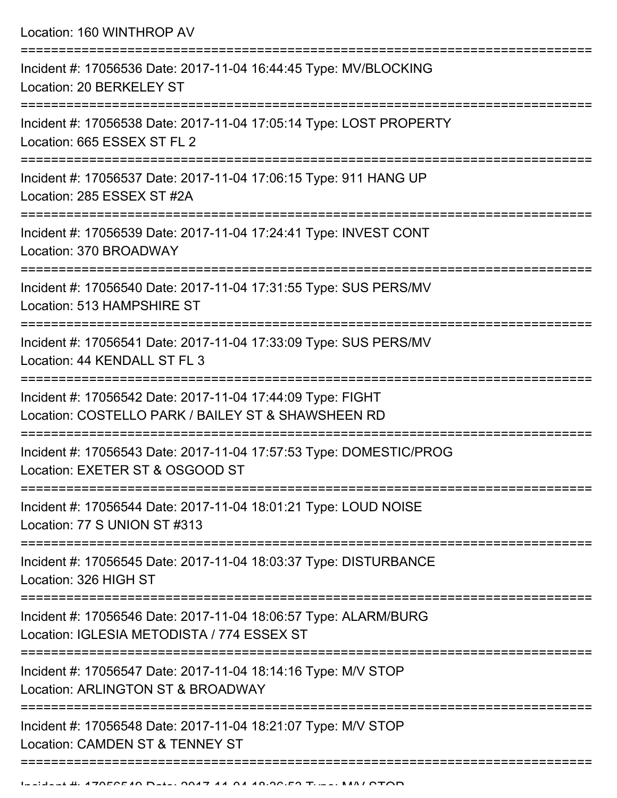| Location: 160 WINTHROP AV                                                                                                             |
|---------------------------------------------------------------------------------------------------------------------------------------|
| Incident #: 17056536 Date: 2017-11-04 16:44:45 Type: MV/BLOCKING<br>Location: 20 BERKELEY ST<br>;==================================== |
| Incident #: 17056538 Date: 2017-11-04 17:05:14 Type: LOST PROPERTY<br>Location: 665 ESSEX ST FL 2                                     |
| Incident #: 17056537 Date: 2017-11-04 17:06:15 Type: 911 HANG UP<br>Location: 285 ESSEX ST #2A                                        |
| Incident #: 17056539 Date: 2017-11-04 17:24:41 Type: INVEST CONT<br>Location: 370 BROADWAY                                            |
| Incident #: 17056540 Date: 2017-11-04 17:31:55 Type: SUS PERS/MV<br>Location: 513 HAMPSHIRE ST                                        |
| Incident #: 17056541 Date: 2017-11-04 17:33:09 Type: SUS PERS/MV<br>Location: 44 KENDALL ST FL 3                                      |
| Incident #: 17056542 Date: 2017-11-04 17:44:09 Type: FIGHT<br>Location: COSTELLO PARK / BAILEY ST & SHAWSHEEN RD                      |
| Incident #: 17056543 Date: 2017-11-04 17:57:53 Type: DOMESTIC/PROG<br>Location: EXETER ST & OSGOOD ST                                 |
| Incident #: 17056544 Date: 2017-11-04 18:01:21 Type: LOUD NOISE<br>Location: 77 S UNION ST #313                                       |
| Incident #: 17056545 Date: 2017-11-04 18:03:37 Type: DISTURBANCE<br>Location: 326 HIGH ST                                             |
| Incident #: 17056546 Date: 2017-11-04 18:06:57 Type: ALARM/BURG<br>Location: IGLESIA METODISTA / 774 ESSEX ST                         |
| Incident #: 17056547 Date: 2017-11-04 18:14:16 Type: M/V STOP<br>Location: ARLINGTON ST & BROADWAY                                    |
| Incident #: 17056548 Date: 2017-11-04 18:21:07 Type: M/V STOP<br>Location: CAMDEN ST & TENNEY ST                                      |
|                                                                                                                                       |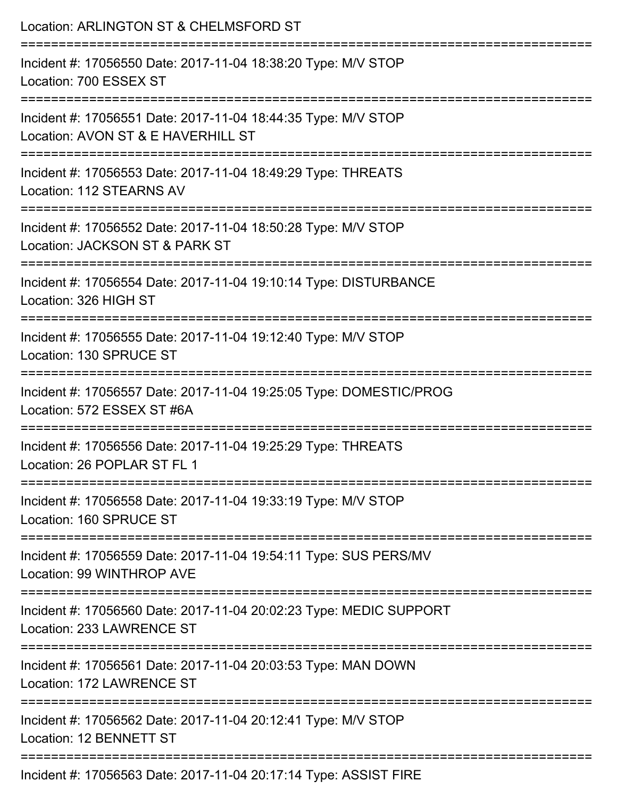| Location: ARLINGTON ST & CHELMSFORD ST                                                                                   |
|--------------------------------------------------------------------------------------------------------------------------|
| Incident #: 17056550 Date: 2017-11-04 18:38:20 Type: M/V STOP<br>Location: 700 ESSEX ST                                  |
| Incident #: 17056551 Date: 2017-11-04 18:44:35 Type: M/V STOP<br>Location: AVON ST & E HAVERHILL ST                      |
| Incident #: 17056553 Date: 2017-11-04 18:49:29 Type: THREATS<br>Location: 112 STEARNS AV                                 |
| Incident #: 17056552 Date: 2017-11-04 18:50:28 Type: M/V STOP<br>Location: JACKSON ST & PARK ST                          |
| Incident #: 17056554 Date: 2017-11-04 19:10:14 Type: DISTURBANCE<br>Location: 326 HIGH ST                                |
| ----------------------------<br>Incident #: 17056555 Date: 2017-11-04 19:12:40 Type: M/V STOP<br>Location: 130 SPRUCE ST |
| Incident #: 17056557 Date: 2017-11-04 19:25:05 Type: DOMESTIC/PROG<br>Location: 572 ESSEX ST #6A                         |
| Incident #: 17056556 Date: 2017-11-04 19:25:29 Type: THREATS<br>Location: 26 POPLAR ST FL 1                              |
| Incident #: 17056558 Date: 2017-11-04 19:33:19 Type: M/V STOP<br>Location: 160 SPRUCE ST                                 |
| Incident #: 17056559 Date: 2017-11-04 19:54:11 Type: SUS PERS/MV<br>Location: 99 WINTHROP AVE                            |
| Incident #: 17056560 Date: 2017-11-04 20:02:23 Type: MEDIC SUPPORT<br>Location: 233 LAWRENCE ST                          |
| Incident #: 17056561 Date: 2017-11-04 20:03:53 Type: MAN DOWN<br>Location: 172 LAWRENCE ST                               |
| Incident #: 17056562 Date: 2017-11-04 20:12:41 Type: M/V STOP<br><b>Location: 12 BENNETT ST</b>                          |
| $F(0)$ Determined 14, 04, 00:47:44 Tunes, ACCICT                                                                         |

Incident #: 17056563 Date: 2017-11-04 20:17:14 Type: ASSIST FIRE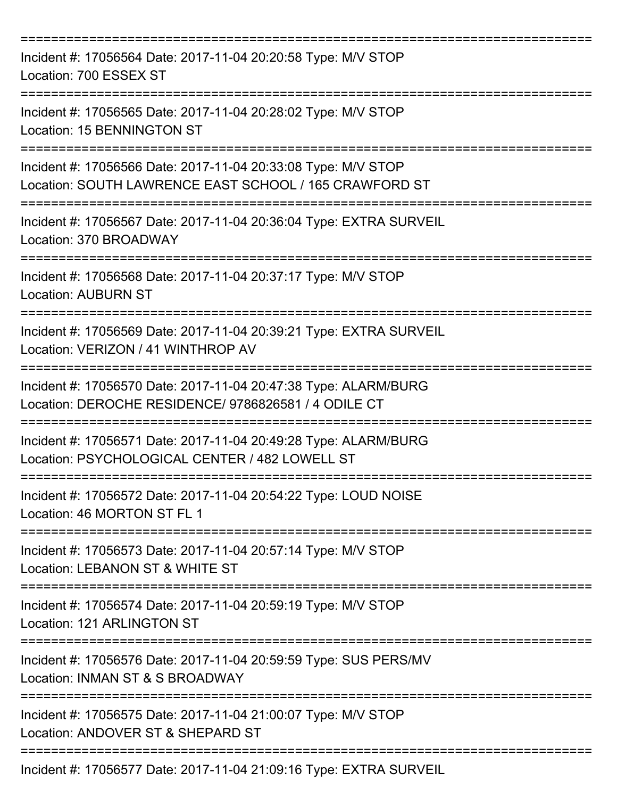| Incident #: 17056564 Date: 2017-11-04 20:20:58 Type: M/V STOP<br>Location: 700 ESSEX ST                                 |
|-------------------------------------------------------------------------------------------------------------------------|
| Incident #: 17056565 Date: 2017-11-04 20:28:02 Type: M/V STOP<br>Location: 15 BENNINGTON ST                             |
| Incident #: 17056566 Date: 2017-11-04 20:33:08 Type: M/V STOP<br>Location: SOUTH LAWRENCE EAST SCHOOL / 165 CRAWFORD ST |
| Incident #: 17056567 Date: 2017-11-04 20:36:04 Type: EXTRA SURVEIL<br>Location: 370 BROADWAY                            |
| Incident #: 17056568 Date: 2017-11-04 20:37:17 Type: M/V STOP<br><b>Location: AUBURN ST</b>                             |
| Incident #: 17056569 Date: 2017-11-04 20:39:21 Type: EXTRA SURVEIL<br>Location: VERIZON / 41 WINTHROP AV                |
| Incident #: 17056570 Date: 2017-11-04 20:47:38 Type: ALARM/BURG<br>Location: DEROCHE RESIDENCE/ 9786826581 / 4 ODILE CT |
| Incident #: 17056571 Date: 2017-11-04 20:49:28 Type: ALARM/BURG<br>Location: PSYCHOLOGICAL CENTER / 482 LOWELL ST       |
| Incident #: 17056572 Date: 2017-11-04 20:54:22 Type: LOUD NOISE<br>Location: 46 MORTON ST FL 1                          |
| Incident #: 17056573 Date: 2017-11-04 20:57:14 Type: M/V STOP<br>Location: LEBANON ST & WHITE ST                        |
| Incident #: 17056574 Date: 2017-11-04 20:59:19 Type: M/V STOP<br>Location: 121 ARLINGTON ST                             |
| Incident #: 17056576 Date: 2017-11-04 20:59:59 Type: SUS PERS/MV<br>Location: INMAN ST & S BROADWAY                     |
| Incident #: 17056575 Date: 2017-11-04 21:00:07 Type: M/V STOP<br>Location: ANDOVER ST & SHEPARD ST                      |
| Incident #: 17056577 Date: 2017-11-04 21:09:16 Type: EXTRA SURVEIL                                                      |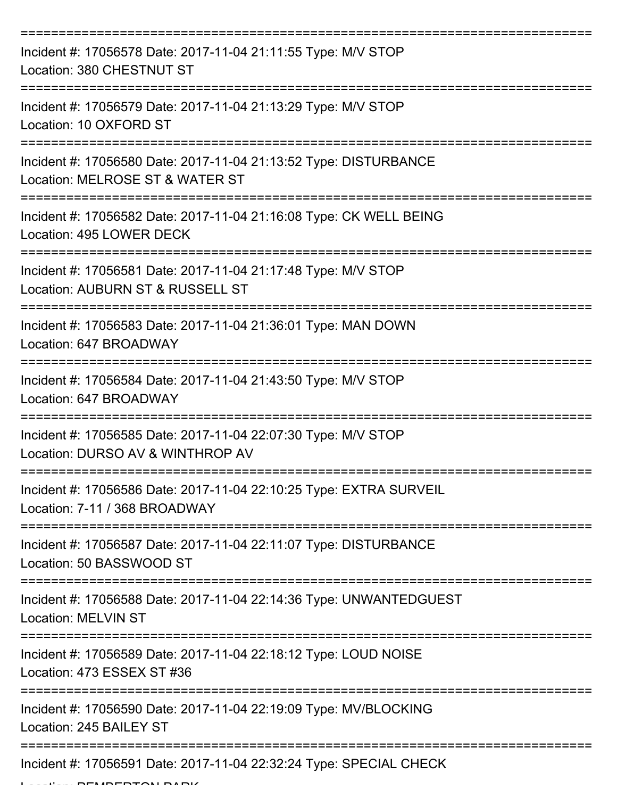| Incident #: 17056578 Date: 2017-11-04 21:11:55 Type: M/V STOP<br>Location: 380 CHESTNUT ST                                |
|---------------------------------------------------------------------------------------------------------------------------|
| Incident #: 17056579 Date: 2017-11-04 21:13:29 Type: M/V STOP<br>Location: 10 OXFORD ST                                   |
| Incident #: 17056580 Date: 2017-11-04 21:13:52 Type: DISTURBANCE<br>Location: MELROSE ST & WATER ST                       |
| Incident #: 17056582 Date: 2017-11-04 21:16:08 Type: CK WELL BEING<br>Location: 495 LOWER DECK                            |
| Incident #: 17056581 Date: 2017-11-04 21:17:48 Type: M/V STOP<br>Location: AUBURN ST & RUSSELL ST                         |
| Incident #: 17056583 Date: 2017-11-04 21:36:01 Type: MAN DOWN<br>Location: 647 BROADWAY                                   |
| Incident #: 17056584 Date: 2017-11-04 21:43:50 Type: M/V STOP<br>Location: 647 BROADWAY                                   |
| Incident #: 17056585 Date: 2017-11-04 22:07:30 Type: M/V STOP<br>Location: DURSO AV & WINTHROP AV                         |
| Incident #: 17056586 Date: 2017-11-04 22:10:25 Type: EXTRA SURVEIL<br>Location: 7-11 / 368 BROADWAY                       |
| Incident #: 17056587 Date: 2017-11-04 22:11:07 Type: DISTURBANCE<br>Location: 50 BASSWOOD ST                              |
| Incident #: 17056588 Date: 2017-11-04 22:14:36 Type: UNWANTEDGUEST<br>Location: MELVIN ST                                 |
| ========================<br>Incident #: 17056589 Date: 2017-11-04 22:18:12 Type: LOUD NOISE<br>Location: 473 ESSEX ST #36 |
| Incident #: 17056590 Date: 2017-11-04 22:19:09 Type: MV/BLOCKING<br>Location: 245 BAILEY ST                               |
| Incident #: 17056591 Date: 2017-11-04 22:32:24 Type: SPECIAL CHECK                                                        |

Location: PEMBERTON PARK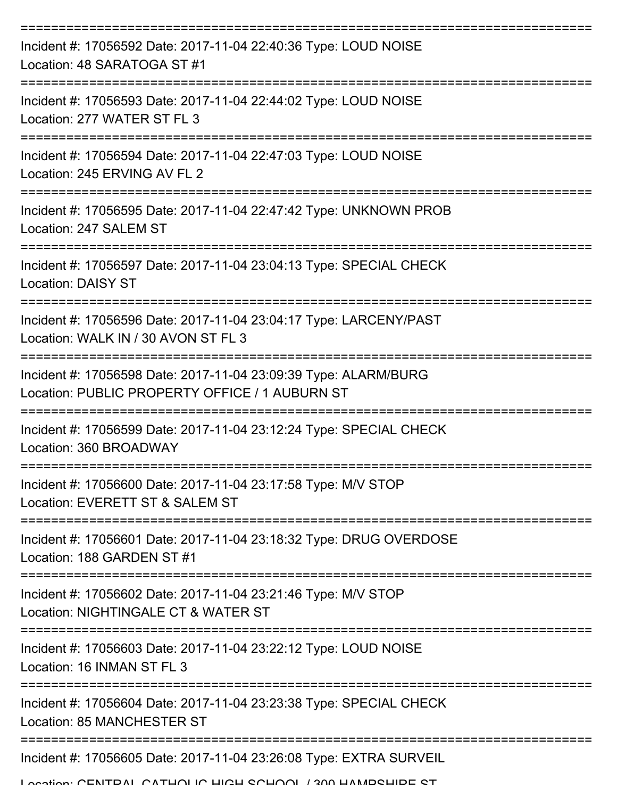| Incident #: 17056592 Date: 2017-11-04 22:40:36 Type: LOUD NOISE<br>Location: 48 SARATOGA ST #1                                                                  |
|-----------------------------------------------------------------------------------------------------------------------------------------------------------------|
| Incident #: 17056593 Date: 2017-11-04 22:44:02 Type: LOUD NOISE<br>Location: 277 WATER ST FL 3                                                                  |
| Incident #: 17056594 Date: 2017-11-04 22:47:03 Type: LOUD NOISE<br>Location: 245 ERVING AV FL 2                                                                 |
| Incident #: 17056595 Date: 2017-11-04 22:47:42 Type: UNKNOWN PROB<br>Location: 247 SALEM ST                                                                     |
| Incident #: 17056597 Date: 2017-11-04 23:04:13 Type: SPECIAL CHECK<br><b>Location: DAISY ST</b>                                                                 |
| Incident #: 17056596 Date: 2017-11-04 23:04:17 Type: LARCENY/PAST<br>Location: WALK IN / 30 AVON ST FL 3                                                        |
| Incident #: 17056598 Date: 2017-11-04 23:09:39 Type: ALARM/BURG<br>Location: PUBLIC PROPERTY OFFICE / 1 AUBURN ST                                               |
| Incident #: 17056599 Date: 2017-11-04 23:12:24 Type: SPECIAL CHECK<br>Location: 360 BROADWAY<br>==============================<br>----------------------------- |
| Incident #: 17056600 Date: 2017-11-04 23:17:58 Type: M/V STOP<br>Location: EVERETT ST & SALEM ST                                                                |
| Incident #: 17056601 Date: 2017-11-04 23:18:32 Type: DRUG OVERDOSE<br>Location: 188 GARDEN ST #1                                                                |
| Incident #: 17056602 Date: 2017-11-04 23:21:46 Type: M/V STOP<br>Location: NIGHTINGALE CT & WATER ST                                                            |
| Incident #: 17056603 Date: 2017-11-04 23:22:12 Type: LOUD NOISE<br>Location: 16 INMAN ST FL 3                                                                   |
| Incident #: 17056604 Date: 2017-11-04 23:23:38 Type: SPECIAL CHECK<br><b>Location: 85 MANCHESTER ST</b>                                                         |
| Incident #: 17056605 Date: 2017-11-04 23:26:08 Type: EXTRA SURVEIL                                                                                              |

Location: CENTRAL CATHOLIC HIGH SCHOOL / 300 HAMPSHIRE ST